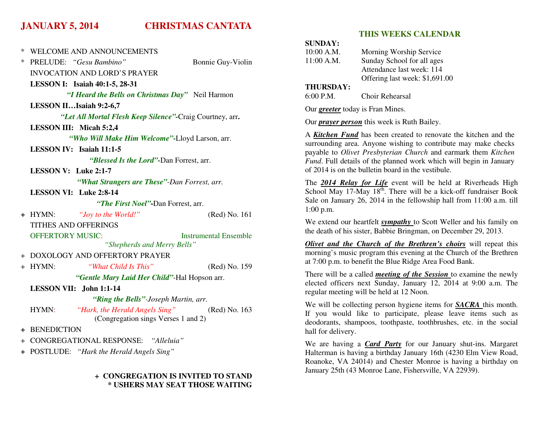# **JANUARY 5, 2014 CHRISTMAS CANTATA**

|   |                                                                                |                              | S                                       |
|---|--------------------------------------------------------------------------------|------------------------------|-----------------------------------------|
| ∗ | <b>WELCOME AND ANNOUNCEMENTS</b>                                               |                              | 1                                       |
| ∗ | PRELUDE: "Gesu Bambino"                                                        | Bonnie Guy-Violin            | $\mathbf{1}$                            |
|   | <b>INVOCATION AND LORD'S PRAYER</b>                                            |                              |                                         |
|   | LESSON I: Isaiah 40:1-5, 28-31                                                 |                              | I                                       |
|   | "I Heard the Bells on Christmas Day" Neil Harmon                               |                              | 6                                       |
|   | LESSON IIIsaiah 9:2-6,7                                                        |                              | $\overline{C}$                          |
|   | "Let All Mortal Flesh Keep Silence"-Craig Courtney, arr.                       |                              | $\mathcal{C}$                           |
|   | LESSON III: Micah 5:2,4                                                        |                              |                                         |
|   | "Who Will Make Him Welcome"-Lloyd Larson, arr.                                 |                              | $\overline{A}$<br>S                     |
|   | LESSON IV: Isaiah 11:1-5                                                       |                              | p                                       |
|   | "Blessed Is the Lord"-Dan Forrest, arr.                                        |                              | F                                       |
|   | <b>LESSON V:</b> Luke $2:1-7$                                                  |                              | $\mathbf 0$                             |
|   | "What Strangers are These"-Dan Forrest, arr.                                   |                              | T                                       |
|   | LESSON VI: Luke 2:8-14                                                         |                              | S                                       |
|   | "The First Noel"-Dan Forrest, arr.                                             |                              | S<br>$\mathbf{1}$                       |
|   | + HYMN:<br>"Joy to the World!"                                                 | (Red) No. 161                |                                         |
|   | <b>TITHES AND OFFERINGS</b>                                                    |                              | $\overline{\mathsf{V}}$<br>tl           |
|   | <b>OFFERTORY MUSIC:</b><br>"Shepherds and Merry Bells"                         | <b>Instrumental Ensemble</b> | $\overline{\mathcal{C}}$                |
|   | + DOXOLOGY AND OFFERTORY PRAYER                                                |                              | n                                       |
|   | + HYMN:<br>"What Child Is This"                                                | (Red) No. 159                | a                                       |
|   | "Gentle Mary Laid Her Child"-Hal Hopson arr.                                   |                              | T                                       |
|   | LESSON VII: John 1:1-14                                                        |                              | e<br>r(                                 |
|   | "Ring the Bells"-Joseph Martin, arr.                                           |                              |                                         |
|   | "Hark, the Herald Angels Sing"<br>HYMN:<br>(Congregation sings Verses 1 and 2) | (Red) No. 163                | $\boldsymbol{\mathrm{V}}$<br>If<br>d    |
|   | + BENEDICTION<br>$\mathbf h$                                                   |                              |                                         |
|   | + CONGREGATIONAL RESPONSE: "Alleluia"                                          |                              | $\boldsymbol{\mathrm{V}}$               |
|   | + POSTLUDE: "Hark the Herald Angels Sing"                                      |                              | $\mathbf{F}$<br>$\overline{\mathbf{R}}$ |

# **+ CONGREGATION IS INVITED TO STAND \* USHERS MAY SEAT THOSE WAITING**

# **THIS WEEKS CALENDAR**

| SUNDAY:    |                                |
|------------|--------------------------------|
| 10:00 A.M. | Morning Worship Service        |
| 11:00 A.M. | Sunday School for all ages     |
|            | Attendance last week: 114      |
|            | Offering last week: \$1,691.00 |
|            |                                |

#### **THURSDAY:**

|  | 6:00 P.M. | Choir Rehearsal |
|--|-----------|-----------------|
|--|-----------|-----------------|

Our *greeter* today is Fran Mines.

Our *prayer person* this week is Ruth Bailey.

A *Kitchen Fund* has been created to renovate the kitchen and the surrounding area. Anyone wishing to contribute may make checks payable to *Olivet Presbyterian Church* and earmark them *Kitchen Fund*. Full details of the planned work which will begin in January of 2014 is on the bulletin board in the vestibule.

The *2014 Relay for Life* event will be held at Riverheads High School May 17-May  $18<sup>th</sup>$ . There will be a kick-off fundraiser Book Sale on January 26, 2014 in the fellowship hall from 11:00 a.m. till 1:00 p.m.

We extend our heartfelt *sympathy* to Scott Weller and his family on the death of his sister, Babbie Bringman, on December 29, 2013.

*Olivet and the Church of the Brethren's choirs* will repeat this morning's music program this evening at the Church of the Brethren at 7:00 p.m. to benefit the Blue Ridge Area Food Bank.

There will be a called *meeting of the Session* to examine the newly elected officers next Sunday, January 12, 2014 at 9:00 a.m. The regular meeting will be held at 12 Noon.

We will be collecting person hygiene items for *SACRA* this month. If you would like to participate, please leave items such as deodorants, shampoos, toothpaste, toothbrushes, etc. in the social hall for delivery.

We are having a *Card Party* for our January shut-ins. Margaret Halterman is having a birthday January 16th (4230 Elm View Road, Roanoke, VA 24014) and Chester Monroe is having a birthday on January 25th (43 Monroe Lane, Fishersville, VA 22939).